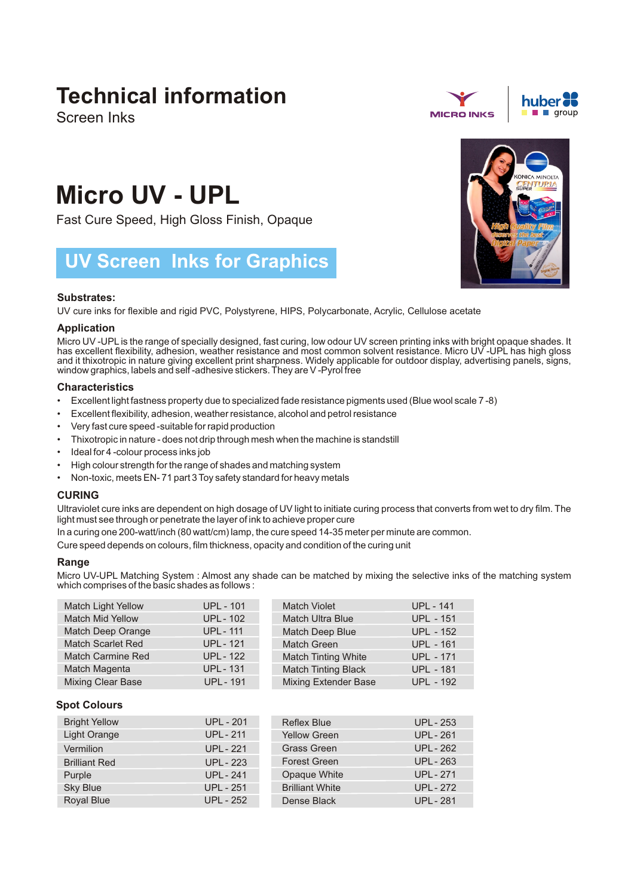## **Technical information**

Screen Inks



# **Micro UV - UPL**

Fast Cure Speed, High Gloss Finish, Opaque

### **UV Screen Inks for Graphics**

#### **Substrates:**

UV cure inks for flexible and rigid PVC, Polystyrene, HIPS, Polycarbonate, Acrylic, Cellulose acetate

#### **Application**

Micro UV -UPL is the range of specially designed, fast curing, low odour UV screen printing inks with bright opaque shades. It has excellent flexibility, adhesion, weather resistance and most common solvent resistance. Micro UV -UPL has high gloss and it thixotropic in nature giving excellent print sharpness. Widely applicable for outdoor display, advertising panels, signs, window graphics, labels and self -adhesive stickers. They are V -Pyrol free

#### **Characteristics**

- Excellent light fastness property due to specialized fade resistance pigments used (Blue wool scale 7 -8)
- Excellent flexibility, adhesion, weather resistance, alcohol and petrol resistance
- Very fast cure speed -suitable for rapid production
- Thixotropic in nature does not drip through mesh when the machine is standstill
- Ideal for 4 -colour process inks job
- High colour strength for the range of shades and matching system
- Non-toxic, meets EN- 71 part 3 Toy safety standard for heavy metals

#### **CURING**

Ultraviolet cure inks are dependent on high dosage of UV light to initiate curing process that converts from wet to dry film. The light must see through or penetrate the layer of ink to achieve proper cure

In a curing one 200-watt/inch (80 watt/cm) lamp, the cure speed 14-35 meter per minute are common.

Cure speed depends on colours, film thickness, opacity and condition of the curing unit

#### **Range**

Micro UV-UPL Matching System : Almost any shade can be matched by mixing the selective inks of the matching system which comprises of the basic shades as follows :

| <b>Match Light Yellow</b> | <b>UPL - 101</b> | <b>Match Violet</b>         | <b>UPL - 141</b> |
|---------------------------|------------------|-----------------------------|------------------|
| <b>Match Mid Yellow</b>   | <b>UPL - 102</b> | <b>Match Ultra Blue</b>     | <b>UPL - 151</b> |
| Match Deep Orange         | <b>UPL - 111</b> | Match Deep Blue             | <b>UPL - 152</b> |
| <b>Match Scarlet Red</b>  | <b>UPL - 121</b> | <b>Match Green</b>          | <b>UPL - 161</b> |
| <b>Match Carmine Red</b>  | <b>UPL - 122</b> | <b>Match Tinting White</b>  | <b>UPL - 171</b> |
| Match Magenta             | <b>UPL - 131</b> | <b>Match Tinting Black</b>  | <b>UPL - 181</b> |
| <b>Mixing Clear Base</b>  | <b>UPL - 191</b> | <b>Mixing Extender Base</b> | <b>UPL - 192</b> |

#### **Spot Colours**

| <b>Bright Yellow</b> | <b>UPL - 201</b> | <b>Reflex Blue</b>     | <b>UPL - 253</b> |
|----------------------|------------------|------------------------|------------------|
| Light Orange         | <b>UPL - 211</b> | <b>Yellow Green</b>    | <b>UPL - 261</b> |
| Vermilion            | <b>UPL - 221</b> | <b>Grass Green</b>     | <b>UPL - 262</b> |
| <b>Brilliant Red</b> | <b>UPL - 223</b> | <b>Forest Green</b>    | <b>UPL - 263</b> |
| Purple               | <b>UPL - 241</b> | Opaque White           | <b>UPL - 271</b> |
| <b>Sky Blue</b>      | <b>UPL - 251</b> | <b>Brilliant White</b> | <b>UPL - 272</b> |
| Royal Blue           | <b>UPL - 252</b> | Dense Black            | UPL - 281        |